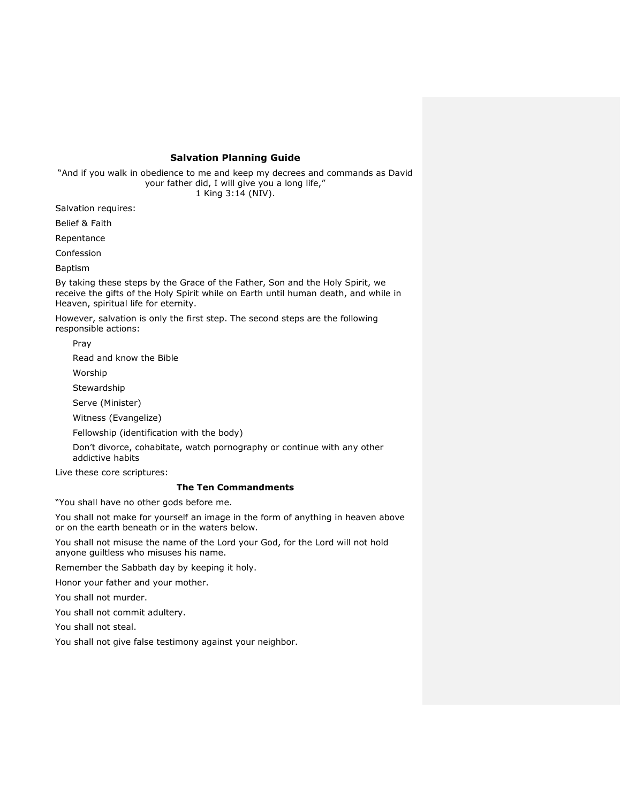# **Salvation Planning Guide**

"And if you walk in obedience to me and keep my decrees and commands as David your father did, I will give you a long life," 1 King 3:14 (NIV).

Salvation requires:

Belief & Faith

Repentance

Confession

Baptism

By taking these steps by the Grace of the Father, Son and the Holy Spirit, we receive the gifts of the Holy Spirit while on Earth until human death, and while in Heaven, spiritual life for eternity.

However, salvation is only the first step. The second steps are the following responsible actions:

Pray

Read and know the Bible

Worship

**Stewardship** 

Serve (Minister)

Witness (Evangelize)

Fellowship (identification with the body)

Don't divorce, cohabitate, watch pornography or continue with any other addictive habits

Live these core scriptures:

# **The Ten Commandments**

"You shall have no other gods before me.

You shall not make for yourself an image in the form of anything in heaven above or on the earth beneath or in the waters below.

You shall not misuse the name of the Lord your God, for the Lord will not hold anyone guiltless who misuses his name.

Remember the Sabbath day by keeping it holy.

Honor your father and your mother.

You shall not murder.

You shall not commit adultery.

You shall not steal.

You shall not give false testimony against your neighbor.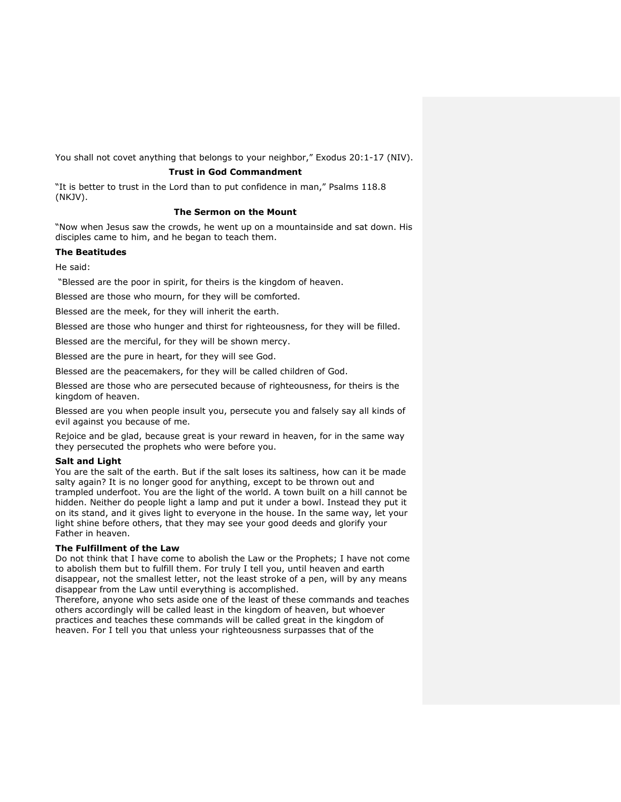You shall not covet anything that belongs to your neighbor," Exodus 20:1-17 (NIV).

# **Trust in God Commandment**

"It is better to trust in the Lord than to put confidence in man," Psalms 118.8 (NKJV).

# **The Sermon on the Mount**

"Now when Jesus saw the crowds, he went up on a mountainside and sat down. His disciples came to him, and he began to teach them.

# **The Beatitudes**

He said:

"Blessed are the poor in spirit, for theirs is the kingdom of heaven.

Blessed are those who mourn, for they will be comforted.

Blessed are the meek, for they will inherit the earth.

Blessed are those who hunger and thirst for righteousness, for they will be filled.

Blessed are the merciful, for they will be shown mercy.

Blessed are the pure in heart, for they will see God.

Blessed are the peacemakers, for they will be called children of God.

Blessed are those who are persecuted because of righteousness, for theirs is the kingdom of heaven.

Blessed are you when people insult you, persecute you and falsely say all kinds of evil against you because of me.

Rejoice and be glad, because great is your reward in heaven, for in the same way they persecuted the prophets who were before you.

# **Salt and Light**

You are the salt of the earth. But if the salt loses its saltiness, how can it be made salty again? It is no longer good for anything, except to be thrown out and trampled underfoot. You are the light of the world. A town built on a hill cannot be hidden. Neither do people light a lamp and put it under a bowl. Instead they put it on its stand, and it gives light to everyone in the house. In the same way, let your light shine before others, that they may see your good deeds and glorify your Father in heaven.

# **The Fulfillment of the Law**

Do not think that I have come to abolish the Law or the Prophets; I have not come to abolish them but to fulfill them. For truly I tell you, until heaven and earth disappear, not the smallest letter, not the least stroke of a pen, will by any means disappear from the Law until everything is accomplished.

Therefore, anyone who sets aside one of the least of these commands and teaches others accordingly will be called least in the kingdom of heaven, but whoever practices and teaches these commands will be called great in the kingdom of heaven. For I tell you that unless your righteousness surpasses that of the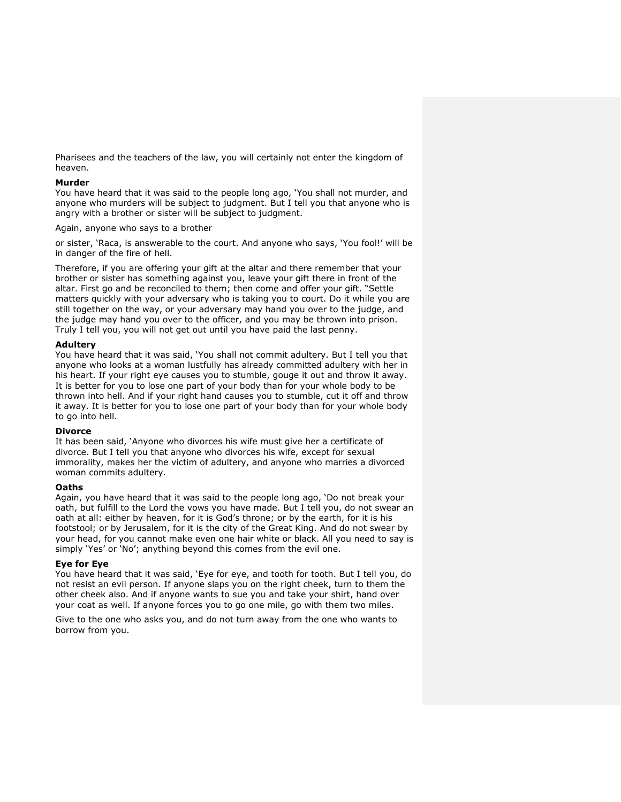Pharisees and the teachers of the law, you will certainly not enter the kingdom of heaven.

## **Murder**

You have heard that it was said to the people long ago, 'You shall not murder, and anyone who murders will be subject to judgment. But I tell you that anyone who is angry with a brother or sister will be subject to judgment.

Again, anyone who says to a brother

or sister, 'Raca, is answerable to the court. And anyone who says, 'You fool!' will be in danger of the fire of hell.

Therefore, if you are offering your gift at the altar and there remember that your brother or sister has something against you, leave your gift there in front of the altar. First go and be reconciled to them; then come and offer your gift. "Settle matters quickly with your adversary who is taking you to court. Do it while you are still together on the way, or your adversary may hand you over to the judge, and the judge may hand you over to the officer, and you may be thrown into prison. Truly I tell you, you will not get out until you have paid the last penny.

# **Adultery**

You have heard that it was said, 'You shall not commit adultery. But I tell you that anyone who looks at a woman lustfully has already committed adultery with her in his heart. If your right eye causes you to stumble, gouge it out and throw it away. It is better for you to lose one part of your body than for your whole body to be thrown into hell. And if your right hand causes you to stumble, cut it off and throw it away. It is better for you to lose one part of your body than for your whole body to go into hell.

# **Divorce**

It has been said, 'Anyone who divorces his wife must give her a certificate of divorce. But I tell you that anyone who divorces his wife, except for sexual immorality, makes her the victim of adultery, and anyone who marries a divorced woman commits adultery.

#### **Oaths**

Again, you have heard that it was said to the people long ago, 'Do not break your oath, but fulfill to the Lord the vows you have made. But I tell you, do not swear an oath at all: either by heaven, for it is God's throne; or by the earth, for it is his footstool; or by Jerusalem, for it is the city of the Great King. And do not swear by your head, for you cannot make even one hair white or black. All you need to say is simply 'Yes' or 'No'; anything beyond this comes from the evil one.

#### **Eye for Eye**

You have heard that it was said, 'Eye for eye, and tooth for tooth. But I tell you, do not resist an evil person. If anyone slaps you on the right cheek, turn to them the other cheek also. And if anyone wants to sue you and take your shirt, hand over your coat as well. If anyone forces you to go one mile, go with them two miles.

Give to the one who asks you, and do not turn away from the one who wants to borrow from you.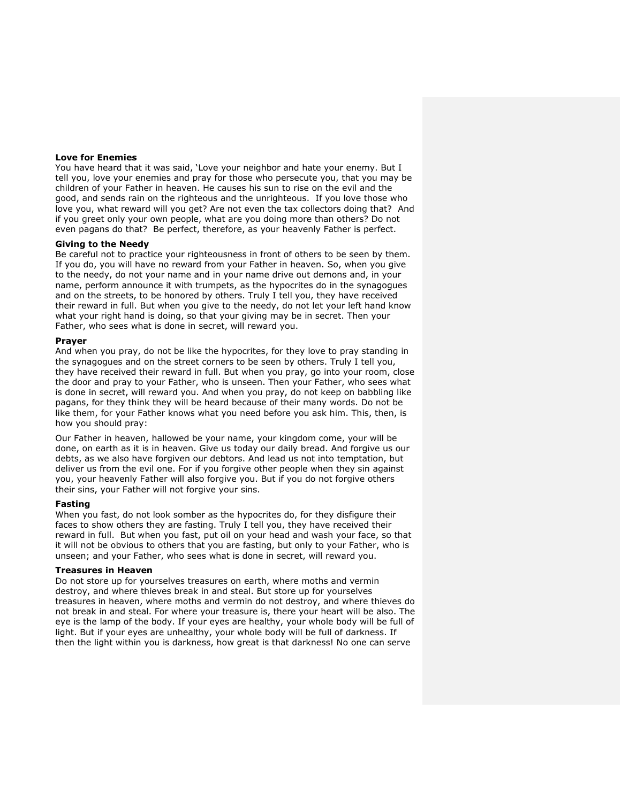#### **Love for Enemies**

You have heard that it was said, 'Love your neighbor and hate your enemy. But I tell you, love your enemies and pray for those who persecute you, that you may be children of your Father in heaven. He causes his sun to rise on the evil and the good, and sends rain on the righteous and the unrighteous. If you love those who love you, what reward will you get? Are not even the tax collectors doing that? And if you greet only your own people, what are you doing more than others? Do not even pagans do that? Be perfect, therefore, as your heavenly Father is perfect.

#### **Giving to the Needy**

Be careful not to practice your righteousness in front of others to be seen by them. If you do, you will have no reward from your Father in heaven. So, when you give to the needy, do not your name and in your name drive out demons and, in your name, perform announce it with trumpets, as the hypocrites do in the synagogues and on the streets, to be honored by others. Truly I tell you, they have received their reward in full. But when you give to the needy, do not let your left hand know what your right hand is doing, so that your giving may be in secret. Then your Father, who sees what is done in secret, will reward you.

#### **Prayer**

And when you pray, do not be like the hypocrites, for they love to pray standing in the synagogues and on the street corners to be seen by others. Truly I tell you, they have received their reward in full. But when you pray, go into your room, close the door and pray to your Father, who is unseen. Then your Father, who sees what is done in secret, will reward you. And when you pray, do not keep on babbling like pagans, for they think they will be heard because of their many words. Do not be like them, for your Father knows what you need before you ask him. This, then, is how you should pray:

Our Father in heaven, hallowed be your name, your kingdom come, your will be done, on earth as it is in heaven. Give us today our daily bread. And forgive us our debts, as we also have forgiven our debtors. And lead us not into temptation, but deliver us from the evil one. For if you forgive other people when they sin against you, your heavenly Father will also forgive you. But if you do not forgive others their sins, your Father will not forgive your sins.

#### **Fasting**

When you fast, do not look somber as the hypocrites do, for they disfigure their faces to show others they are fasting. Truly I tell you, they have received their reward in full. But when you fast, put oil on your head and wash your face, so that it will not be obvious to others that you are fasting, but only to your Father, who is unseen; and your Father, who sees what is done in secret, will reward you.

### **Treasures in Heaven**

Do not store up for yourselves treasures on earth, where moths and vermin destroy, and where thieves break in and steal. But store up for yourselves treasures in heaven, where moths and vermin do not destroy, and where thieves do not break in and steal. For where your treasure is, there your heart will be also. The eye is the lamp of the body. If your eyes are healthy, your whole body will be full of light. But if your eyes are unhealthy, your whole body will be full of darkness. If then the light within you is darkness, how great is that darkness! No one can serve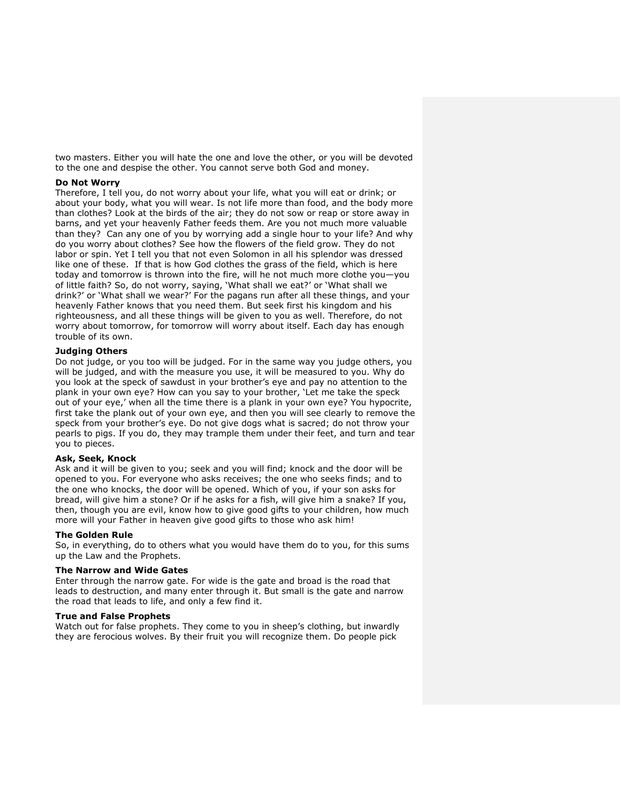two masters. Either you will hate the one and love the other, or you will be devoted to the one and despise the other. You cannot serve both God and money.

## **Do Not Worry**

Therefore, I tell you, do not worry about your life, what you will eat or drink; or about your body, what you will wear. Is not life more than food, and the body more than clothes? Look at the birds of the air; they do not sow or reap or store away in barns, and yet your heavenly Father feeds them. Are you not much more valuable than they? Can any one of you by worrying add a single hour to your life? And why do you worry about clothes? See how the flowers of the field grow. They do not labor or spin. Yet I tell you that not even Solomon in all his splendor was dressed like one of these. If that is how God clothes the grass of the field, which is here today and tomorrow is thrown into the fire, will he not much more clothe you—you of little faith? So, do not worry, saying, 'What shall we eat?' or 'What shall we drink?' or 'What shall we wear?' For the pagans run after all these things, and your heavenly Father knows that you need them. But seek first his kingdom and his righteousness, and all these things will be given to you as well. Therefore, do not worry about tomorrow, for tomorrow will worry about itself. Each day has enough trouble of its own.

# **Judging Others**

Do not judge, or you too will be judged. For in the same way you judge others, you will be judged, and with the measure you use, it will be measured to you. Why do you look at the speck of sawdust in your brother's eye and pay no attention to the plank in your own eye? How can you say to your brother, 'Let me take the speck out of your eye,' when all the time there is a plank in your own eye? You hypocrite, first take the plank out of your own eye, and then you will see clearly to remove the speck from your brother's eye. Do not give dogs what is sacred; do not throw your pearls to pigs. If you do, they may trample them under their feet, and turn and tear you to pieces.

### **Ask, Seek, Knock**

Ask and it will be given to you; seek and you will find; knock and the door will be opened to you. For everyone who asks receives; the one who seeks finds; and to the one who knocks, the door will be opened. Which of you, if your son asks for bread, will give him a stone? Or if he asks for a fish, will give him a snake? If you, then, though you are evil, know how to give good gifts to your children, how much more will your Father in heaven give good gifts to those who ask him!

# **The Golden Rule**

So, in everything, do to others what you would have them do to you, for this sums up the Law and the Prophets.

# **The Narrow and Wide Gates**

Enter through the narrow gate. For wide is the gate and broad is the road that leads to destruction, and many enter through it. But small is the gate and narrow the road that leads to life, and only a few find it.

# **True and False Prophets**

Watch out for false prophets. They come to you in sheep's clothing, but inwardly they are ferocious wolves. By their fruit you will recognize them. Do people pick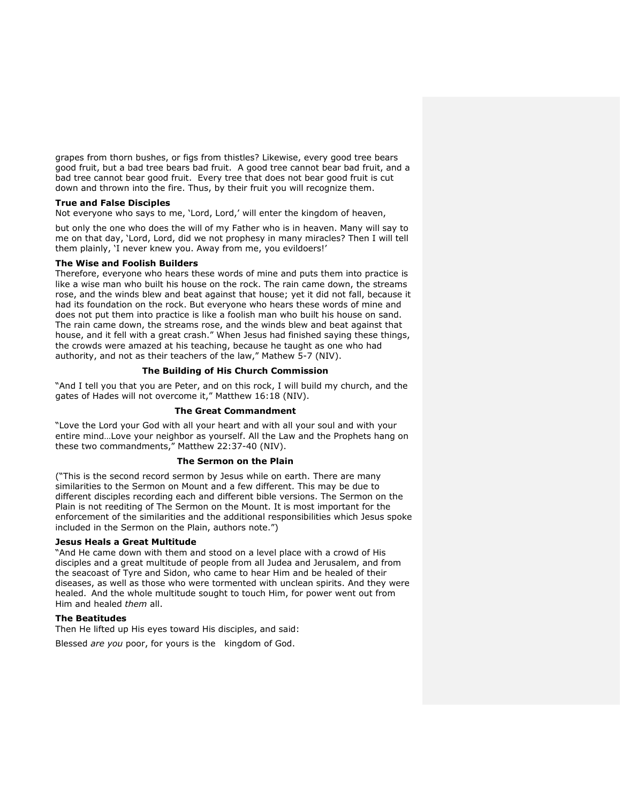grapes from thorn bushes, or figs from thistles? Likewise, every good tree bears good fruit, but a bad tree bears bad fruit. A good tree cannot bear bad fruit, and a bad tree cannot bear good fruit. Every tree that does not bear good fruit is cut down and thrown into the fire. Thus, by their fruit you will recognize them.

#### **True and False Disciples**

Not everyone who says to me, 'Lord, Lord,' will enter the kingdom of heaven,

but only the one who does the will of my Father who is in heaven. Many will say to me on that day, 'Lord, Lord, did we not prophesy in many miracles? Then I will tell them plainly, 'I never knew you. Away from me, you evildoers!'

#### **The Wise and Foolish Builders**

Therefore, everyone who hears these words of mine and puts them into practice is like a wise man who built his house on the rock. The rain came down, the streams rose, and the winds blew and beat against that house; yet it did not fall, because it had its foundation on the rock. But everyone who hears these words of mine and does not put them into practice is like a foolish man who built his house on sand. The rain came down, the streams rose, and the winds blew and beat against that house, and it fell with a great crash." When Jesus had finished saying these things, the crowds were amazed at his teaching, because he taught as one who had authority, and not as their teachers of the law," Mathew 5-7 (NIV).

#### **The Building of His Church Commission**

"And I tell you that you are Peter, and on this rock, I will build my church, and the gates of Hades will not overcome it," Matthew 16:18 (NIV).

# **The Great Commandment**

"Love the Lord your God with all your heart and with all your soul and with your entire mind…Love your neighbor as yourself. All the Law and the Prophets hang on these two commandments," Matthew 22:37-40 (NIV).

#### **The Sermon on the Plain**

("This is the second record sermon by Jesus while on earth. There are many similarities to the Sermon on Mount and a few different. This may be due to different disciples recording each and different bible versions. The Sermon on the Plain is not reediting of The Sermon on the Mount. It is most important for the enforcement of the similarities and the additional responsibilities which Jesus spoke included in the Sermon on the Plain, authors note.")

#### **Jesus Heals a Great Multitude**

"And He came down with them and stood on a level place with a crowd of His disciples and a great multitude of people from all Judea and Jerusalem, and from the seacoast of Tyre and Sidon, who came to hear Him and be healed of their diseases, as well as those who were tormented with unclean spirits. And they were healed. And the whole multitude sought to touch Him, for power went out from Him and healed *them* all.

#### **The Beatitudes**

Then He lifted up His eyes toward His disciples, and said:

Blessed *are you* poor, for yours is the kingdom of God.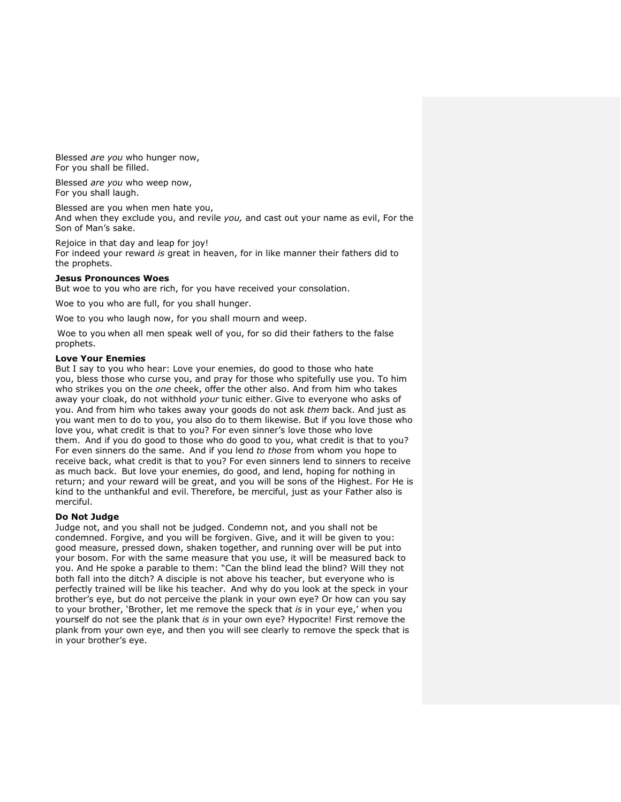Blessed *are you* who hunger now, For you shall be filled.

Blessed *are you* who weep now, For you shall laugh.

Blessed are you when men hate you, And when they exclude you, and revile *you,* and cast out your name as evil, For the Son of Man's sake.

Rejoice in that day and leap for joy! For indeed your reward *is* great in heaven, for in like manner their fathers did to the prophets.

### **Jesus Pronounces Woes**

But woe to you who are rich, for you have received your consolation.

Woe to you who are full, for you shall hunger.

Woe to you who laugh now, for you shall mourn and weep.

Woe to you when all men speak well of you, for so did their fathers to the false prophets.

# **Love Your Enemies**

But I say to you who hear: Love your enemies, do good to those who hate you, bless those who curse you, and pray for those who spitefully use you. To him who strikes you on the *one* cheek, offer the other also. And from him who takes away your cloak, do not withhold *your* tunic either. Give to everyone who asks of you. And from him who takes away your goods do not ask *them* back. And just as you want men to do to you, you also do to them likewise. But if you love those who love you, what credit is that to you? For even sinner's love those who love them. And if you do good to those who do good to you, what credit is that to you? For even sinners do the same. And if you lend *to those* from whom you hope to receive back, what credit is that to you? For even sinners lend to sinners to receive as much back. But love your enemies, do good, and lend, hoping for nothing in return; and your reward will be great, and you will be sons of the Highest. For He is kind to the unthankful and evil. Therefore, be merciful, just as your Father also is merciful.

# **Do Not Judge**

Judge not, and you shall not be judged. Condemn not, and you shall not be condemned. Forgive, and you will be forgiven. Give, and it will be given to you: good measure, pressed down, shaken together, and running over will be put into your bosom. For with the same measure that you use, it will be measured back to you. And He spoke a parable to them: "Can the blind lead the blind? Will they not both fall into the ditch? A disciple is not above his teacher, but everyone who is perfectly trained will be like his teacher. And why do you look at the speck in your brother's eye, but do not perceive the plank in your own eye? Or how can you say to your brother, 'Brother, let me remove the speck that *is* in your eye,' when you yourself do not see the plank that *is* in your own eye? Hypocrite! First remove the plank from your own eye, and then you will see clearly to remove the speck that is in your brother's eye.